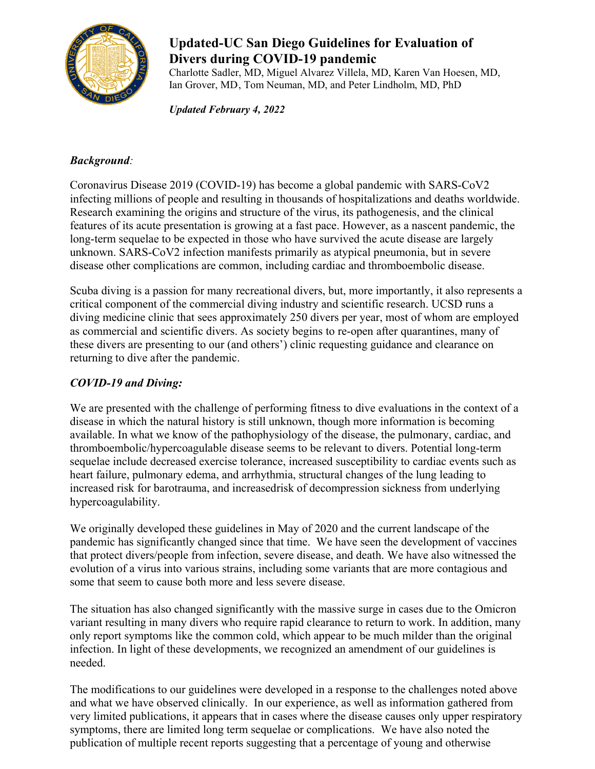

## **Updated-UC San Diego Guidelines for Evaluation of Divers during COVID-19 pandemic**

Charlotte Sadler, MD, Miguel Alvarez Villela, MD, Karen Van Hoesen, MD, Ian Grover, MD, Tom Neuman, MD, and Peter Lindholm, MD, PhD

*Updated February 4, 2022*

## *Background:*

Coronavirus Disease 2019 (COVID-19) has become a global pandemic with SARS-CoV2 infecting millions of people and resulting in thousands of hospitalizations and deaths worldwide. Research examining the origins and structure of the virus, its pathogenesis, and the clinical features of its acute presentation is growing at a fast pace. However, as a nascent pandemic, the long-term sequelae to be expected in those who have survived the acute disease are largely unknown. SARS-CoV2 infection manifests primarily as atypical pneumonia, but in severe disease other complications are common, including cardiac and thromboembolic disease.

Scuba diving is a passion for many recreational divers, but, more importantly, it also represents a critical component of the commercial diving industry and scientific research. UCSD runs a diving medicine clinic that sees approximately 250 divers per year, most of whom are employed as commercial and scientific divers. As society begins to re-open after quarantines, many of these divers are presenting to our (and others') clinic requesting guidance and clearance on returning to dive after the pandemic.

## *COVID-19 and Diving:*

We are presented with the challenge of performing fitness to dive evaluations in the context of a disease in which the natural history is still unknown, though more information is becoming available. In what we know of the pathophysiology of the disease, the pulmonary, cardiac, and thromboembolic/hypercoagulable disease seems to be relevant to divers. Potential long-term sequelae include decreased exercise tolerance, increased susceptibility to cardiac events such as heart failure, pulmonary edema, and arrhythmia, structural changes of the lung leading to increased risk for barotrauma, and increasedrisk of decompression sickness from underlying hypercoagulability.

We originally developed these guidelines in May of 2020 and the current landscape of the pandemic has significantly changed since that time. We have seen the development of vaccines that protect divers/people from infection, severe disease, and death. We have also witnessed the evolution of a virus into various strains, including some variants that are more contagious and some that seem to cause both more and less severe disease.

The situation has also changed significantly with the massive surge in cases due to the Omicron variant resulting in many divers who require rapid clearance to return to work. In addition, many only report symptoms like the common cold, which appear to be much milder than the original infection. In light of these developments, we recognized an amendment of our guidelines is needed.

The modifications to our guidelines were developed in a response to the challenges noted above and what we have observed clinically. In our experience, as well as information gathered from very limited publications, it appears that in cases where the disease causes only upper respiratory symptoms, there are limited long term sequelae or complications. We have also noted the publication of multiple recent reports suggesting that a percentage of young and otherwise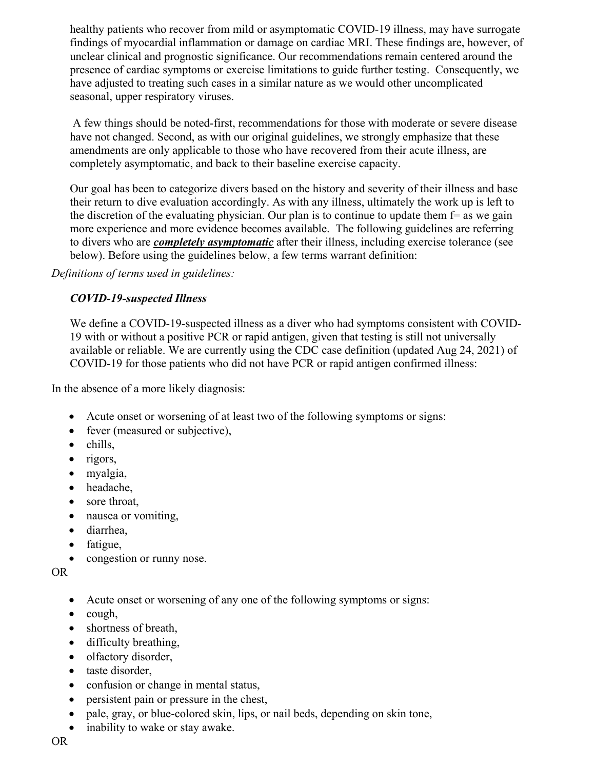healthy patients who recover from mild or asymptomatic COVID-19 illness, may have surrogate findings of myocardial inflammation or damage on cardiac MRI. These findings are, however, of unclear clinical and prognostic significance. Our recommendations remain centered around the presence of cardiac symptoms or exercise limitations to guide further testing. Consequently, we have adjusted to treating such cases in a similar nature as we would other uncomplicated seasonal, upper respiratory viruses.

 A few things should be noted-first, recommendations for those with moderate or severe disease have not changed. Second, as with our original guidelines, we strongly emphasize that these amendments are only applicable to those who have recovered from their acute illness, are completely asymptomatic, and back to their baseline exercise capacity.

Our goal has been to categorize divers based on the history and severity of their illness and base their return to dive evaluation accordingly. As with any illness, ultimately the work up is left to the discretion of the evaluating physician. Our plan is to continue to update them  $f =$  as we gain more experience and more evidence becomes available. The following guidelines are referring to divers who are *completely asymptomatic* after their illness, including exercise tolerance (see below). Before using the guidelines below, a few terms warrant definition:

*Definitions of terms used in guidelines:* 

### *COVID-19-suspected Illness*

We define a COVID-19-suspected illness as a diver who had symptoms consistent with COVID-19 with or without a positive PCR or rapid antigen, given that testing is still not universally available or reliable. We are currently using the CDC case definition (updated Aug 24, 2021) of COVID-19 for those patients who did not have PCR or rapid antigen confirmed illness:

In the absence of a more likely diagnosis:

- Acute onset or worsening of at least two of the following symptoms or signs:
- fever (measured or subjective),
- chills,
- rigors,
- myalgia,
- headache,
- sore throat,
- nausea or vomiting,
- diarrhea,
- fatigue,
- congestion or runny nose.

OR

- Acute onset or worsening of any one of the following symptoms or signs:
- cough,
- shortness of breath,
- difficulty breathing,
- olfactory disorder,
- taste disorder,
- confusion or change in mental status,
- persistent pain or pressure in the chest,
- pale, gray, or blue-colored skin, lips, or nail beds, depending on skin tone,
- inability to wake or stay awake.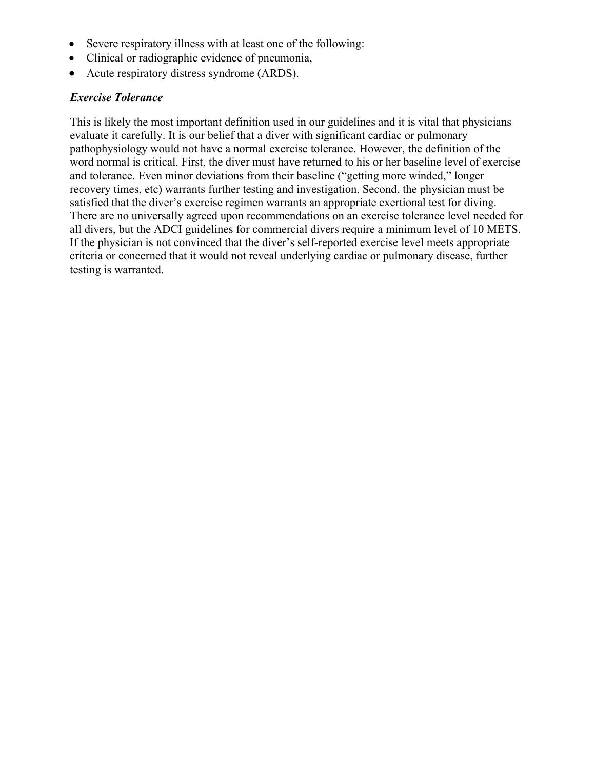- Severe respiratory illness with at least one of the following:
- Clinical or radiographic evidence of pneumonia,
- Acute respiratory distress syndrome (ARDS).

### *Exercise Tolerance*

This is likely the most important definition used in our guidelines and it is vital that physicians evaluate it carefully. It is our belief that a diver with significant cardiac or pulmonary pathophysiology would not have a normal exercise tolerance. However, the definition of the word normal is critical. First, the diver must have returned to his or her baseline level of exercise and tolerance. Even minor deviations from their baseline ("getting more winded," longer recovery times, etc) warrants further testing and investigation. Second, the physician must be satisfied that the diver's exercise regimen warrants an appropriate exertional test for diving. There are no universally agreed upon recommendations on an exercise tolerance level needed for all divers, but the ADCI guidelines for commercial divers require a minimum level of 10 METS. If the physician is not convinced that the diver's self-reported exercise level meets appropriate criteria or concerned that it would not reveal underlying cardiac or pulmonary disease, further testing is warranted.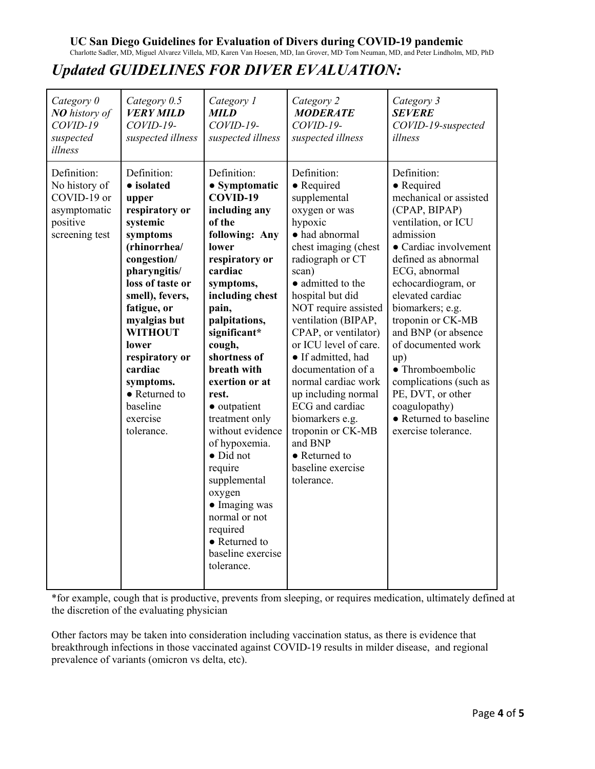### **UC San Diego Guidelines for Evaluation of Divers during COVID-19 pandemic**

Charlotte Sadler, MD, Miguel Alvarez Villela, MD, Karen Van Hoesen, MD, Ian Grover, MD, Tom Neuman, MD, and Peter Lindholm, MD, PhD

# *Updated GUIDELINES FOR DIVER EVALUATION:*

| Category 0<br><b>NO</b> history of<br>$COVID-19$<br>suspected<br>illness                  | Category 0.5<br><b>VERY MILD</b><br>$COVID-19-$<br>suspected illness                                                                                                                                                                                                                                                          | Category 1<br>MILD<br>$COVID-19-$<br>suspected illness                                                                                                                                                                                                                                                                                                                                                                                                                                               | Category 2<br><b>MODERATE</b><br>$COVID-19-$<br>suspected illness                                                                                                                                                                                                                                                                                                                                                                                                                                         | Category 3<br><b>SEVERE</b><br>COVID-19-suspected<br>illness                                                                                                                                                                                                                                                                                                                                                                                                  |
|-------------------------------------------------------------------------------------------|-------------------------------------------------------------------------------------------------------------------------------------------------------------------------------------------------------------------------------------------------------------------------------------------------------------------------------|------------------------------------------------------------------------------------------------------------------------------------------------------------------------------------------------------------------------------------------------------------------------------------------------------------------------------------------------------------------------------------------------------------------------------------------------------------------------------------------------------|-----------------------------------------------------------------------------------------------------------------------------------------------------------------------------------------------------------------------------------------------------------------------------------------------------------------------------------------------------------------------------------------------------------------------------------------------------------------------------------------------------------|---------------------------------------------------------------------------------------------------------------------------------------------------------------------------------------------------------------------------------------------------------------------------------------------------------------------------------------------------------------------------------------------------------------------------------------------------------------|
| Definition:<br>No history of<br>COVID-19 or<br>asymptomatic<br>positive<br>screening test | Definition:<br>• isolated<br>upper<br>respiratory or<br>systemic<br>symptoms<br>(rhinorrhea/<br>congestion/<br>pharyngitis/<br>loss of taste or<br>smell), fevers,<br>fatigue, or<br>myalgias but<br><b>WITHOUT</b><br>lower<br>respiratory or<br>cardiac<br>symptoms.<br>• Returned to<br>baseline<br>exercise<br>tolerance. | Definition:<br>• Symptomatic<br>COVID-19<br>including any<br>of the<br>following: Any<br>lower<br>respiratory or<br>cardiac<br>symptoms,<br>including chest<br>pain,<br>palpitations,<br>significant*<br>cough,<br>shortness of<br>breath with<br>exertion or at<br>rest.<br>• outpatient<br>treatment only<br>without evidence<br>of hypoxemia.<br>· Did not<br>require<br>supplemental<br>oxygen<br>• Imaging was<br>normal or not<br>required<br>• Returned to<br>baseline exercise<br>tolerance. | Definition:<br>• Required<br>supplemental<br>oxygen or was<br>hypoxic<br>· had abnormal<br>chest imaging (chest<br>radiograph or CT<br>scan)<br>• admitted to the<br>hospital but did<br>NOT require assisted<br>ventilation (BIPAP,<br>CPAP, or ventilator)<br>or ICU level of care.<br>• If admitted, had<br>documentation of a<br>normal cardiac work<br>up including normal<br>ECG and cardiac<br>biomarkers e.g.<br>troponin or CK-MB<br>and BNP<br>• Returned to<br>baseline exercise<br>tolerance. | Definition:<br>• Required<br>mechanical or assisted<br>(CPAP, BIPAP)<br>ventilation, or ICU<br>admission<br>• Cardiac involvement<br>defined as abnormal<br>ECG, abnormal<br>echocardiogram, or<br>elevated cardiac<br>biomarkers; e.g.<br>troponin or CK-MB<br>and BNP (or absence<br>of documented work<br>up)<br>$\bullet$ Thromboembolic<br>complications (such as<br>PE, DVT, or other<br>coagulopathy)<br>• Returned to baseline<br>exercise tolerance. |

\*for example, cough that is productive, prevents from sleeping, or requires medication, ultimately defined at the discretion of the evaluating physician

Other factors may be taken into consideration including vaccination status, as there is evidence that breakthrough infections in those vaccinated against COVID-19 results in milder disease, and regional prevalence of variants (omicron vs delta, etc).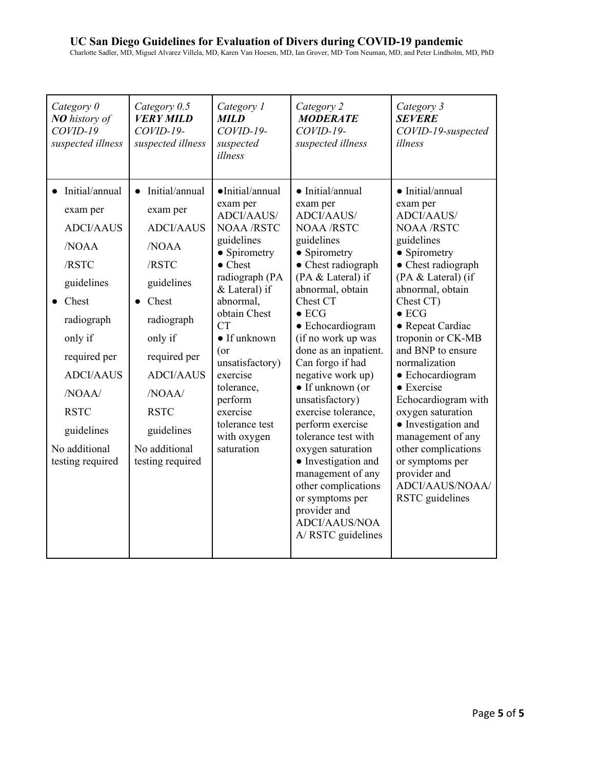### **UC San Diego Guidelines for Evaluation of Divers during COVID-19 pandemic**

Charlotte Sadler, MD, Miguel Alvarez Villela, MD, Karen Van Hoesen, MD, Ian Grover, MD, Tom Neuman, MD, and Peter Lindholm, MD, PhD

| Category 0<br>NO history of<br>$COVID-19$<br>suspected illness                                                                                                                                                                    | Category 0.5<br><b>VERY MILD</b><br>$COVID-19-$<br>suspected illness                                                                                                                                                                         | Category 1<br><b>MILD</b><br>$COVID-19-$<br>suspected<br>illness                                                                                                                                                                                                                                                                                     | Category 2<br><b>MODERATE</b><br>$COVID-19-$<br>suspected illness                                                                                                                                                                                                                                                                                                                                                                                                                                                                                                                                     | Category 3<br><b>SEVERE</b><br>COVID-19-suspected<br>illness                                                                                                                                                                                                                                                                                                                                                                                                                                                                |
|-----------------------------------------------------------------------------------------------------------------------------------------------------------------------------------------------------------------------------------|----------------------------------------------------------------------------------------------------------------------------------------------------------------------------------------------------------------------------------------------|------------------------------------------------------------------------------------------------------------------------------------------------------------------------------------------------------------------------------------------------------------------------------------------------------------------------------------------------------|-------------------------------------------------------------------------------------------------------------------------------------------------------------------------------------------------------------------------------------------------------------------------------------------------------------------------------------------------------------------------------------------------------------------------------------------------------------------------------------------------------------------------------------------------------------------------------------------------------|-----------------------------------------------------------------------------------------------------------------------------------------------------------------------------------------------------------------------------------------------------------------------------------------------------------------------------------------------------------------------------------------------------------------------------------------------------------------------------------------------------------------------------|
| • Initial/annual<br>exam per<br><b>ADCI/AAUS</b><br>/NOAA<br>/RSTC<br>guidelines<br>Chest<br>radiograph<br>only if<br>required per<br><b>ADCI/AAUS</b><br>NOAA/<br><b>RSTC</b><br>guidelines<br>No additional<br>testing required | Initial/annual<br>$\bullet$<br>exam per<br><b>ADCI/AAUS</b><br>/NOAA<br>/RSTC<br>guidelines<br>Chest<br>radiograph<br>only if<br>required per<br><b>ADCI/AAUS</b><br>NOAA/<br><b>RSTC</b><br>guidelines<br>No additional<br>testing required | ·Initial/annual<br>exam per<br><b>ADCI/AAUS/</b><br><b>NOAA/RSTC</b><br>guidelines<br>• Spirometry<br>$\bullet$ Chest<br>radiograph (PA<br>& Lateral) if<br>abnormal,<br>obtain Chest<br><b>CT</b><br>$\bullet$ If unknown<br>(or<br>unsatisfactory)<br>exercise<br>tolerance,<br>perform<br>exercise<br>tolerance test<br>with oxygen<br>saturation | $\bullet$ Initial/annual<br>exam per<br><b>ADCI/AAUS/</b><br><b>NOAA/RSTC</b><br>guidelines<br>• Spirometry<br>• Chest radiograph<br>(PA & Lateral) if<br>abnormal, obtain<br>Chest CT<br>$\bullet$ ECG<br>• Echocardiogram<br>(if no work up was<br>done as an inpatient.<br>Can forgo if had<br>negative work up)<br>• If unknown (or<br>unsatisfactory)<br>exercise tolerance,<br>perform exercise<br>tolerance test with<br>oxygen saturation<br>• Investigation and<br>management of any<br>other complications<br>or symptoms per<br>provider and<br><b>ADCI/AAUS/NOA</b><br>A/ RSTC guidelines | $\bullet$ Initial/annual<br>exam per<br><b>ADCI/AAUS/</b><br><b>NOAA /RSTC</b><br>guidelines<br>• Spirometry<br>• Chest radiograph<br>(PA & Lateral) (if<br>abnormal, obtain<br>Chest CT)<br>$\bullet$ ECG<br>• Repeat Cardiac<br>troponin or CK-MB<br>and BNP to ensure<br>normalization<br>• Echocardiogram<br>$\bullet$ Exercise<br>Echocardiogram with<br>oxygen saturation<br>• Investigation and<br>management of any<br>other complications<br>or symptoms per<br>provider and<br>ADCI/AAUS/NOAA/<br>RSTC guidelines |